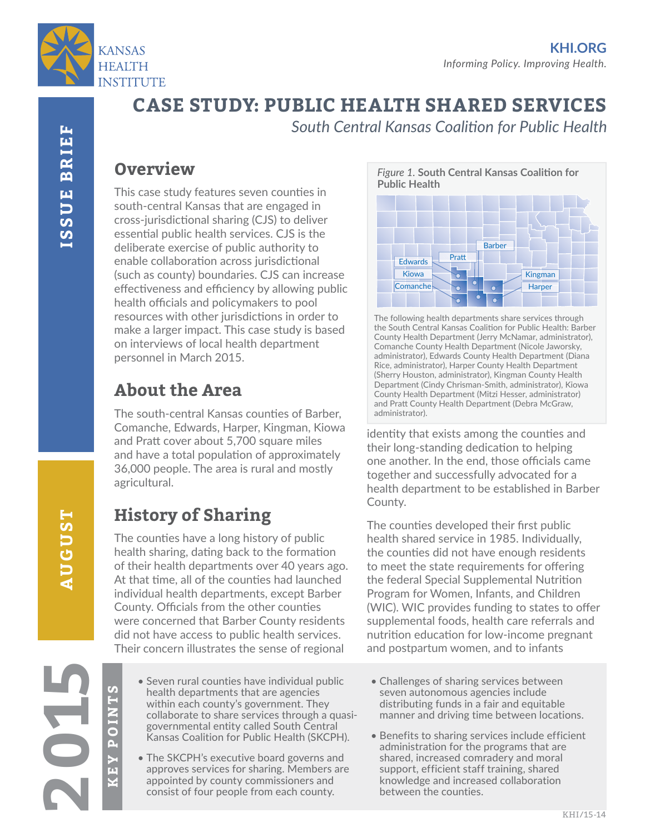

## **CASE STUDY: PUBLIC HEALTH SHARED SERVICES**

**South Central Kansas Coalition for Public Health** 

## **Overview**

This case study features seven counties in south-central Kansas that are engaged in cross-jurisdictional sharing (CJS) to deliver essential public health services. CJS is the deliberate exercise of public authority to enable collaboration across jurisdictional (such as county) boundaries. CJS can increase effectiveness and efficiency by allowing public health officials and policymakers to pool resources with other jurisdictions in order to make a larger impact. This case study is based on interviews of local health department personnel in March 2015.

## **About the Area**

The south-central Kansas counties of Barber, Comanche, Edwards, Harper, Kingman, Kiowa and Pratt cover about 5,700 square miles and have a total population of approximately 36,000 people. The area is rural and mostly agricultural.

# **History of Sharing**

The counties have a long history of public health sharing, dating back to the formation of their health departments over 40 years ago. At that time, all of the counties had launched individual health departments, except Barber County. Officials from the other counties were concerned that Barber County residents did not have access to public health services. Their concern illustrates the sense of regional

**2015**

**AUGUST** 

**KEY POINTS**

**POINTS** 

- Seven rural counties have individual public health departments that are agencies within each county's government. They collaborate to share services through a quasigovernmental entity called South Central Kansas Coalition for Public Health (SKCPH).
- The SKCPH's executive board governs and approves services for sharing. Members are appointed by county commissioners and consist of four people from each county.



The following health departments share services through the South Central Kansas Coalition for Public Health: Barber County Health Department (Jerry McNamar, administrator), Comanche County Health Department (Nicole Jaworsky, administrator), Edwards County Health Department (Diana Rice, administrator), Harper County Health Department (Sherry Houston, administrator), Kingman County Health Department (Cindy Chrisman-Smith, administrator), Kiowa County Health Department (Mitzi Hesser, administrator) and Pratt County Health Department (Debra McGraw, administrator).

identity that exists among the counties and their long-standing dedication to helping one another. In the end, those officials came together and successfully advocated for a health department to be established in Barber County.

The counties developed their first public health shared service in 1985. Individually, the counties did not have enough residents to meet the state requirements for offering the federal Special Supplemental Nutrition Program for Women, Infants, and Children (WIC). WIC provides funding to states to offer supplemental foods, health care referrals and nutrition education for low-income pregnant and postpartum women, and to infants

- Challenges of sharing services between seven autonomous agencies include distributing funds in a fair and equitable manner and driving time between locations.
- Benefits to sharing services include efficient administration for the programs that are shared, increased comradery and moral support, efficient staff training, shared knowledge and increased collaboration between the counties.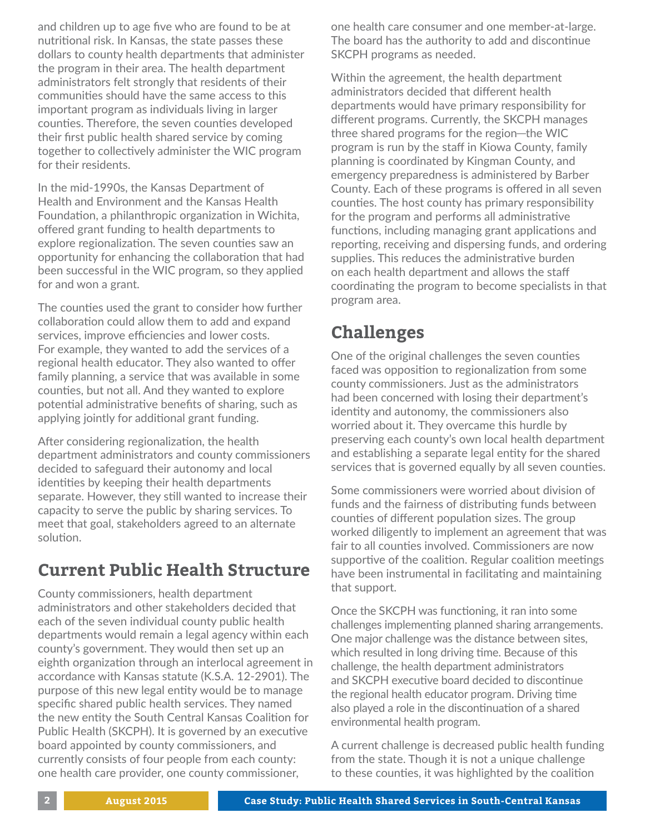and children up to age five who are found to be at nutritional risk. In Kansas, the state passes these dollars to county health departments that administer the program in their area. The health department administrators felt strongly that residents of their communities should have the same access to this important program as individuals living in larger counties. Therefore, the seven counties developed their first public health shared service by coming together to collectively administer the WIC program for their residents.

In the mid-1990s, the Kansas Department of Health and Environment and the Kansas Health Foundation, a philanthropic organization in Wichita, off ered grant funding to health departments to explore regionalization. The seven counties saw an opportunity for enhancing the collaboration that had been successful in the WIC program, so they applied for and won a grant.

The counties used the grant to consider how further collaboration could allow them to add and expand services, improve efficiencies and lower costs. For example, they wanted to add the services of a regional health educator. They also wanted to offer family planning, a service that was available in some counties, but not all. And they wanted to explore potential administrative benefits of sharing, such as applying jointly for additional grant funding.

After considering regionalization, the health department administrators and county commissioners decided to safeguard their autonomy and local identities by keeping their health departments separate. However, they still wanted to increase their capacity to serve the public by sharing services. To meet that goal, stakeholders agreed to an alternate solution.

## **Current Public Health Structure**

County commissioners, health department administrators and other stakeholders decided that each of the seven individual county public health departments would remain a legal agency within each county's government. They would then set up an eighth organization through an interlocal agreement in accordance with Kansas statute (K.S.A. 12-2901). The purpose of this new legal entity would be to manage specific shared public health services. They named the new entity the South Central Kansas Coalition for Public Health (SKCPH). It is governed by an executive board appointed by county commissioners, and currently consists of four people from each county: one health care provider, one county commissioner,

one health care consumer and one member-at-large. The board has the authority to add and discontinue SKCPH programs as needed.

Within the agreement, the health department administrators decided that different health departments would have primary responsibility for different programs. Currently, the SKCPH manages three shared programs for the region─the WIC program is run by the staff in Kiowa County, family planning is coordinated by Kingman County, and emergency preparedness is administered by Barber County. Each of these programs is offered in all seven counties. The host county has primary responsibility for the program and performs all administrative functions, including managing grant applications and reporting, receiving and dispersing funds, and ordering supplies. This reduces the administrative burden on each health department and allows the staff coordinating the program to become specialists in that program area.

## **Challenges**

One of the original challenges the seven counties faced was opposition to regionalization from some county commissioners. Just as the administrators had been concerned with losing their department's identity and autonomy, the commissioners also worried about it. They overcame this hurdle by preserving each county's own local health department and establishing a separate legal entity for the shared services that is governed equally by all seven counties.

Some commissioners were worried about division of funds and the fairness of distributing funds between counties of different population sizes. The group worked diligently to implement an agreement that was fair to all counties involved. Commissioners are now supportive of the coalition. Regular coalition meetings have been instrumental in facilitating and maintaining that support.

Once the SKCPH was functioning, it ran into some challenges implementing planned sharing arrangements. One major challenge was the distance between sites, which resulted in long driving time. Because of this challenge, the health department administrators and SKCPH executive board decided to discontinue the regional health educator program. Driving time also played a role in the discontinuation of a shared environmental health program.

A current challenge is decreased public health funding from the state. Though it is not a unique challenge to these counties, it was highlighted by the coalition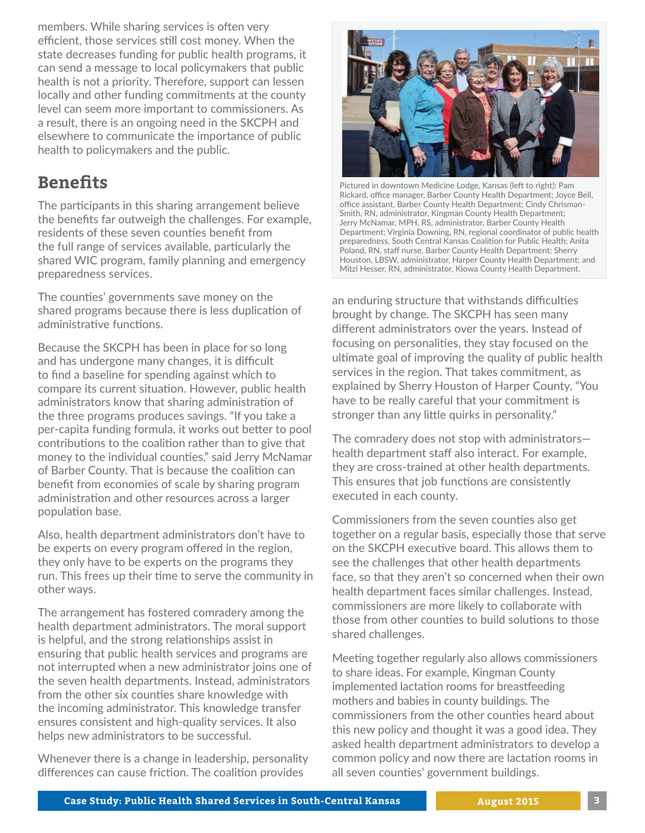members. While sharing services is often very efficient, those services still cost money. When the state decreases funding for public health programs, it can send a message to local policymakers that public health is not a priority. Therefore, support can lessen locally and other funding commitments at the county level can seem more important to commissioners. As a result, there is an ongoing need in the SKCPH and elsewhere to communicate the importance of public health to policymakers and the public.

#### **Benefits**

The participants in this sharing arrangement believe the benefits far outweigh the challenges. For example, residents of these seven counties benefit from the full range of services available, particularly the shared WIC program, family planning and emergency preparedness services.

The counties' governments save money on the shared programs because there is less duplication of administrative functions.

Because the SKCPH has been in place for so long and has undergone many changes, it is difficult to find a baseline for spending against which to compare its current situation. However, public health administrators know that sharing administration of the three programs produces savings. "If you take a per-capita funding formula, it works out better to pool contributions to the coalition rather than to give that money to the individual counties," said Jerry McNamar of Barber County. That is because the coalition can benefit from economies of scale by sharing program administration and other resources across a larger population base.

Also, health department administrators don't have to be experts on every program offered in the region, they only have to be experts on the programs they run. This frees up their time to serve the community in other ways.

The arrangement has fostered comradery among the health department administrators. The moral support is helpful, and the strong relationships assist in ensuring that public health services and programs are not interrupted when a new administrator joins one of the seven health departments. Instead, administrators from the other six counties share knowledge with the incoming administrator. This knowledge transfer ensures consistent and high-quality services. It also helps new administrators to be successful.

Whenever there is a change in leadership, personality differences can cause friction. The coalition provides



Pictured in downtown Medicine Lodge, Kansas (left to right): Pam Rickard, office manager, Barber County Health Department; Joyce Bell, office assistant, Barber County Health Department; Cindy Chrisman-Smith, RN, administrator, Kingman County Health Department; Jerry McNamar, MPH, RS, administrator, Barber County Health Department; Virginia Downing, RN, regional coordinator of public health preparedness, South Central Kansas Coalition for Public Health; Anita Poland, RN, staff nurse, Barber County Health Department; Sherry Houston, LBSW, administrator, Harper County Health Department; and Mitzi Hesser, RN, administrator, Kiowa County Health Department.

an enduring structure that withstands difficulties brought by change. The SKCPH has seen many different administrators over the years. Instead of focusing on personalities, they stay focused on the ultimate goal of improving the quality of public health services in the region. That takes commitment, as explained by Sherry Houston of Harper County, "You have to be really careful that your commitment is stronger than any little quirks in personality."

The comradery does not stop with administrators health department staff also interact. For example, they are cross-trained at other health departments. This ensures that job functions are consistently executed in each county.

Commissioners from the seven counties also get together on a regular basis, especially those that serve on the SKCPH executive board. This allows them to see the challenges that other health departments face, so that they aren't so concerned when their own health department faces similar challenges. Instead, commissioners are more likely to collaborate with those from other counties to build solutions to those shared challenges.

Meeting together regularly also allows commissioners to share ideas. For example, Kingman County implemented lactation rooms for breastfeeding mothers and babies in county buildings. The commissioners from the other counties heard about this new policy and thought it was a good idea. They asked health department administrators to develop a common policy and now there are lactation rooms in all seven counties' government buildings.